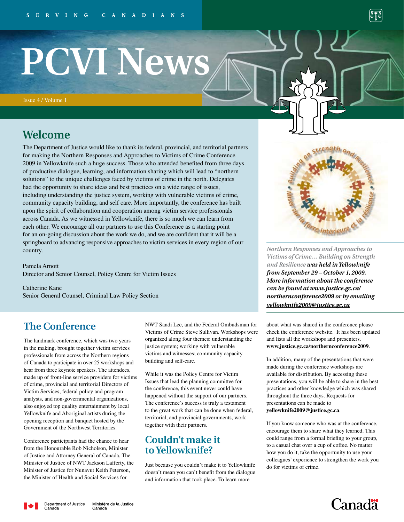# **PCVI News**

Issue 4 / Volume 1

## **Welcome**

The Department of Justice would like to thank its federal, provincial, and territorial partners for making the Northern Responses and Approaches to Victims of Crime Conference 2009 in Yellowknife such a huge success. Those who attended benefited from three days of productive dialogue, learning, and information sharing which will lead to "northern solutions" to the unique challenges faced by victims of crime in the north. Delegates had the opportunity to share ideas and best practices on a wide range of issues, including understanding the justice system, working with vulnerable victims of crime, community capacity building, and self care. More importantly, the conference has built upon the spirit of collaboration and cooperation among victim service professionals across Canada. As we witnessed in Yellowknife, there is so much we can learn from each other. We encourage all our partners to use this Conference as a starting point for an on-going discussion about the work we do, and we are confident that it will be a springboard to advancing responsive approaches to victim services in every region of our country.

Pamela Arnott Director and Senior Counsel, Policy Centre for Victim Issues

Catherine Kane Senior General Counsel, Criminal Law Policy Section

## **The Conference**

The landmark conference, which was two years in the making, brought together victim services professionals from across the Northern regions of Canada to participate in over 25 workshops and hear from three keynote speakers. The attendees, made up of front-line service providers for victims of crime, provincial and territorial Directors of Victim Services, federal policy and program analysts, and non-governmental organizations, also enjoyed top quality entertainment by local Yellowknife and Aboriginal artists during the opening reception and banquet hosted by the Government of the Northwest Territories.

Conference participants had the chance to hear from the Honourable Rob Nicholson, Minister of Justice and Attorney General of Canada, The Minister of Justice of NWT Jackson Lafferty, the Minister of Justice for Nunavut Keith Peterson, the Minister of Health and Social Services for

NWT Sandi Lee, and the Federal Ombudsman for Victims of Crime Steve Sullivan. Workshops were organized along four themes: understanding the justice system; working with vulnerable victims and witnesses; community capacity building and self-care.

While it was the Policy Centre for Victim Issues that lead the planning committee for the conference, this event never could have happened without the support of our partners. The conference's success is truly a testament to the great work that can be done when federal, territorial, and provincial governments, work together with their partners.

## **Couldn't make it to Yellowknife?**

Just because you couldn't make it to Yellowknife doesn't mean you can't benefit from the dialogue and information that took place. To learn more

*Northern Responses and Approaches to Victims of Crime… Building on Strength and Resilience was held in Yellowknife from September 29 – October 1, 2009. More information about the conference can be found at [www.justice.gc.ca/](www.justice.gc.ca/northernconference2009)*

about what was shared in the conference please check the conference website. It has been updated and lists all the workshops and presenters. **www.justice.gc.ca/northernconference2009**.

*[northernconference2009](www.justice.gc.ca/northernconference2009) or by emailing* 

*yellowknife2009@justice.gc.ca*

In addition, many of the presentations that were made during the conference workshops are available for distribution. By accessing these presentations, you will be able to share in the best practices and other knowledge which was shared throughout the three days. Requests for presentations can be made to **yellowknife2009@justice.gc.ca**.

If you know someone who was at the conference, encourage them to share what they learned. This could range from a formal briefing to your group, to a casual chat over a cup of coffee. No matter how you do it, take the opportunity to use your colleagues' experience to strengthen the work you do for victims of crime.